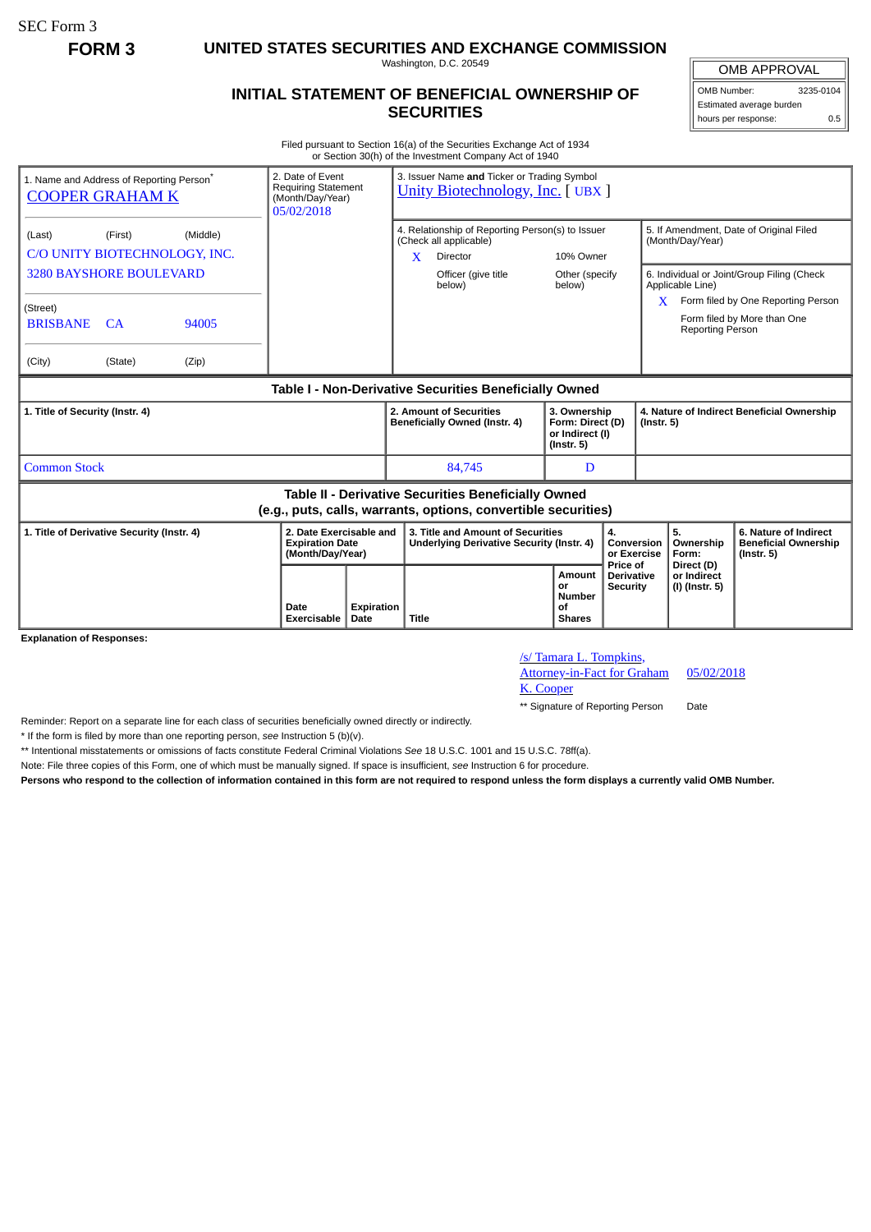SEC Form 3

**FORM 3 UNITED STATES SECURITIES AND EXCHANGE COMMISSION**

Washington, D.C. 20549

## **INITIAL STATEMENT OF BENEFICIAL OWNERSHIP OF SECURITIES**

OMB APPROVAL OMB Number: 3235-0104

Estimated average burden hours per response: 0.5

Filed pursuant to Section 16(a) of the Securities Exchange Act of 1934 or Section 30(h) of the Investment Company Act of 1940

| 1. Name and Address of Reporting Person <sup>®</sup><br><b>COOPER GRAHAM K</b>                                        | 2. Date of Event<br><b>Requiring Statement</b><br>(Month/Day/Year)<br>05/02/2018 |                    | 3. Issuer Name and Ticker or Trading Symbol<br><b>Unity Biotechnology, Inc.</b> [UBX ]                 |                                                                         |                                           |                                                                |                                                                                                                 |  |
|-----------------------------------------------------------------------------------------------------------------------|----------------------------------------------------------------------------------|--------------------|--------------------------------------------------------------------------------------------------------|-------------------------------------------------------------------------|-------------------------------------------|----------------------------------------------------------------|-----------------------------------------------------------------------------------------------------------------|--|
| (Middle)<br>(Last)<br>(First)<br>C/O UNITY BIOTECHNOLOGY, INC.                                                        |                                                                                  |                    | 4. Relationship of Reporting Person(s) to Issuer<br>(Check all applicable)<br>$\mathbf{x}$<br>Director | 10% Owner                                                               |                                           | 5. If Amendment, Date of Original Filed<br>(Month/Day/Year)    |                                                                                                                 |  |
| <b>3280 BAYSHORE BOULEVARD</b><br>(Street)<br><b>BRISBANE</b><br>CA<br>94005                                          |                                                                                  |                    | Officer (give title<br>below)                                                                          | Other (specify<br>below)                                                |                                           | Applicable Line)<br>X.<br><b>Reporting Person</b>              | 6. Individual or Joint/Group Filing (Check<br>Form filed by One Reporting Person<br>Form filed by More than One |  |
| (City)<br>(State)<br>(Zip)                                                                                            |                                                                                  |                    |                                                                                                        |                                                                         |                                           |                                                                |                                                                                                                 |  |
| Table I - Non-Derivative Securities Beneficially Owned                                                                |                                                                                  |                    |                                                                                                        |                                                                         |                                           |                                                                |                                                                                                                 |  |
| 1. Title of Security (Instr. 4)                                                                                       |                                                                                  |                    | 2. Amount of Securities<br>Beneficially Owned (Instr. 4)                                               | 3. Ownership<br>Form: Direct (D)<br>or Indirect (I)<br>$($ lnstr. 5 $)$ |                                           | 4. Nature of Indirect Beneficial Ownership<br>$($ Instr. 5 $)$ |                                                                                                                 |  |
| <b>Common Stock</b>                                                                                                   |                                                                                  |                    | 84,745                                                                                                 | D                                                                       |                                           |                                                                |                                                                                                                 |  |
| Table II - Derivative Securities Beneficially Owned<br>(e.g., puts, calls, warrants, options, convertible securities) |                                                                                  |                    |                                                                                                        |                                                                         |                                           |                                                                |                                                                                                                 |  |
| 1. Title of Derivative Security (Instr. 4)                                                                            | 2. Date Exercisable and<br><b>Expiration Date</b><br>(Month/Day/Year)            |                    | 3. Title and Amount of Securities<br>Underlying Derivative Security (Instr. 4)                         |                                                                         | 4.<br>Conversion<br>or Exercise           | 5.<br>Ownership<br>Form:                                       | 6. Nature of Indirect<br><b>Beneficial Ownership</b><br>$($ lnstr. 5 $)$                                        |  |
| <b>Explanation of Responses:</b>                                                                                      | Date<br>Exercisable                                                              | Expiration<br>Date | Title                                                                                                  | Amount<br>or<br><b>Number</b><br>οf<br><b>Shares</b>                    | Price of<br>Derivative<br><b>Security</b> | Direct (D)<br>or Indirect<br>(I) (Instr. 5)                    |                                                                                                                 |  |

/s/ Tamara L. Tompkins, Attorney-in-Fact for Graham

05/02/2018

K. Cooper

\*\* Signature of Reporting Person Date

Reminder: Report on a separate line for each class of securities beneficially owned directly or indirectly.

\* If the form is filed by more than one reporting person, *see* Instruction 5 (b)(v).

\*\* Intentional misstatements or omissions of facts constitute Federal Criminal Violations *See* 18 U.S.C. 1001 and 15 U.S.C. 78ff(a).

Note: File three copies of this Form, one of which must be manually signed. If space is insufficient, *see* Instruction 6 for procedure.

**Persons who respond to the collection of information contained in this form are not required to respond unless the form displays a currently valid OMB Number.**